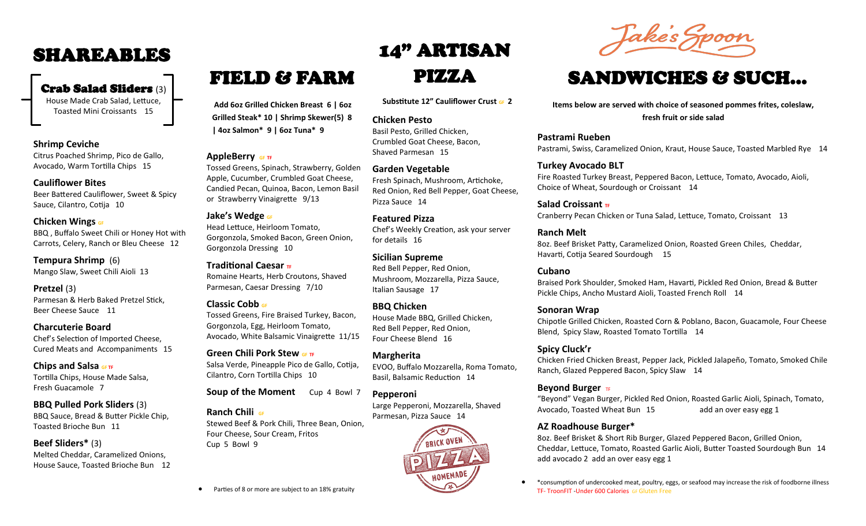### SHAREABLES

### Crab Salad Sliders (3)

House Made Crab Salad, Lettuce, Toasted Mini Croissants 15

#### **Shrimp Ceviche**

Citrus Poached Shrimp, Pico de Gallo, Avocado, Warm Tortilla Chips 15

#### **Cauliflower Bites**

Beer Battered Cauliflower, Sweet & Spicy Sauce, Cilantro, Cotija 10

#### **Chicken Wings GF**

BBQ , Buffalo Sweet Chili or Honey Hot with Carrots, Celery, Ranch or Bleu Cheese 12

### **Tempura Shrimp** (6)

Mango Slaw, Sweet Chili Aioli 13

#### **Pretzel** (3)

Parmesan & Herb Baked Pretzel Stick, Beer Cheese Sauce 11

#### **Charcuterie Board**

Chef's Selection of Imported Cheese, Cured Meats and Accompaniments 15

#### **Chips and Salsa GF TF**

Tortilla Chips, House Made Salsa, Fresh Guacamole 7

#### **BBQ Pulled Pork Sliders** (3) BBQ Sauce, Bread & Butter Pickle Chip,

Toasted Brioche Bun 11

### **Beef Sliders\*** (3)

Melted Cheddar, Caramelized Onions, House Sauce, Toasted Brioche Bun 12

# FIELD & FARM PIZZA

**Add 6oz Grilled Chicken Breast 6 | 6oz Grilled Steak\* 10 | Shrimp Skewer(5) 8 | 4oz Salmon\* 9 | 6oz Tuna\* 9** 

#### **AppleBerry GF TF**

Tossed Greens, Spinach, Strawberry, Golden Apple, Cucumber, Crumbled Goat Cheese, Candied Pecan, Quinoa, Bacon, Lemon Basil or Strawberry Vinaigrette 9/13

#### **Jake's Wedge GF**

Head Lettuce, Heirloom Tomato, Gorgonzola, Smoked Bacon, Green Onion, Gorgonzola Dressing 10

Romaine Hearts, Herb Croutons, Shaved Parmesan, Caesar Dressing 7/10

#### **Classic Cobb GF**

**Traditional Caesar TF** 

Tossed Greens, Fire Braised Turkey, Bacon, Gorgonzola, Egg, Heirloom Tomato, Avocado, White Balsamic Vinaigrette 11/15

#### **Green Chili Pork Stew**  $\frac{1}{2}$ Salsa Verde, Pineapple Pico de Gallo, Cotija, Cilantro, Corn Tortilla Chips 10

**Soup of the Moment** Cup 4 Bowl 7

#### **Ranch Chili GF**

Stewed Beef & Pork Chili, Three Bean, Onion, Four Cheese, Sour Cream, Fritos Cup 5 Bowl 9

# 14" ARTISAN

**Substitute 12" Cauliflower Crust GF 2**

#### **Chicken Pesto**

Basil Pesto, Grilled Chicken, Crumbled Goat Cheese, Bacon, Shaved Parmesan 15

#### **Garden Vegetable**

Fresh Spinach, Mushroom, Artichoke, Red Onion, Red Bell Pepper, Goat Cheese, Pizza Sauce 14

#### **Featured Pizza**

Chef's Weekly Creation, ask your server for details 16

#### **Sicilian Supreme**

Red Bell Pepper, Red Onion, Mushroom, Mozzarella, Pizza Sauce, Italian Sausage 17

#### **BBQ Chicken**

House Made BBQ, Grilled Chicken, Red Bell Pepper, Red Onion, Four Cheese Blend 16

#### **Margherita**

EVOO, Buffalo Mozzarella, Roma Tomato, Basil, Balsamic Reduction 14

#### **Pepperoni**

Large Pepperoni, Mozzarella, Shaved Parmesan, Pizza Sauce 14





## SANDWICHES & SUCH...

**Items below are served with choice of seasoned pommes frites, coleslaw, fresh fruit or side salad**

**Pastrami Rueben**  Pastrami, Swiss, Caramelized Onion, Kraut, House Sauce, Toasted Marbled Rye 14

#### **Turkey Avocado BLT**

Fire Roasted Turkey Breast, Peppered Bacon, Lettuce, Tomato, Avocado, Aioli, Choice of Wheat, Sourdough or Croissant 14

**Salad Croissant TF** Cranberry Pecan Chicken or Tuna Salad, Lettuce, Tomato, Croissant 13

#### **Ranch Melt**

8oz. Beef Brisket Patty, Caramelized Onion, Roasted Green Chiles, Cheddar, Havarti, Cotija Seared Sourdough 15

#### **Cubano**

Braised Pork Shoulder, Smoked Ham, Havarti, Pickled Red Onion, Bread & Butter Pickle Chips, Ancho Mustard Aioli, Toasted French Roll 14

#### **Sonoran Wrap**

Chipotle Grilled Chicken, Roasted Corn & Poblano, Bacon, Guacamole, Four Cheese Blend, Spicy Slaw, Roasted Tomato Tortilla 14

#### **Spicy Cluck'r**

Chicken Fried Chicken Breast, Pepper Jack, Pickled Jalapeño, Tomato, Smoked Chile Ranch, Glazed Peppered Bacon, Spicy Slaw 14

#### **Beyond Burger** TF

"Beyond" Vegan Burger, Pickled Red Onion, Roasted Garlic Aioli, Spinach, Tomato, Avocado, Toasted Wheat Bun 15 add an over easy egg 1

### **AZ Roadhouse Burger\***

8oz. Beef Brisket & Short Rib Burger, Glazed Peppered Bacon, Grilled Onion, Cheddar, Lettuce, Tomato, Roasted Garlic Aioli, Butter Toasted Sourdough Bun 14 add avocado 2 add an over easy egg 1

• \*consumption of undercooked meat, poultry, eggs, or seafood may increase the risk of foodborne illness TF- TroonFIT -Under 600 Calories GF Gluten Free

Parties of 8 or more are subject to an 18% gratuity